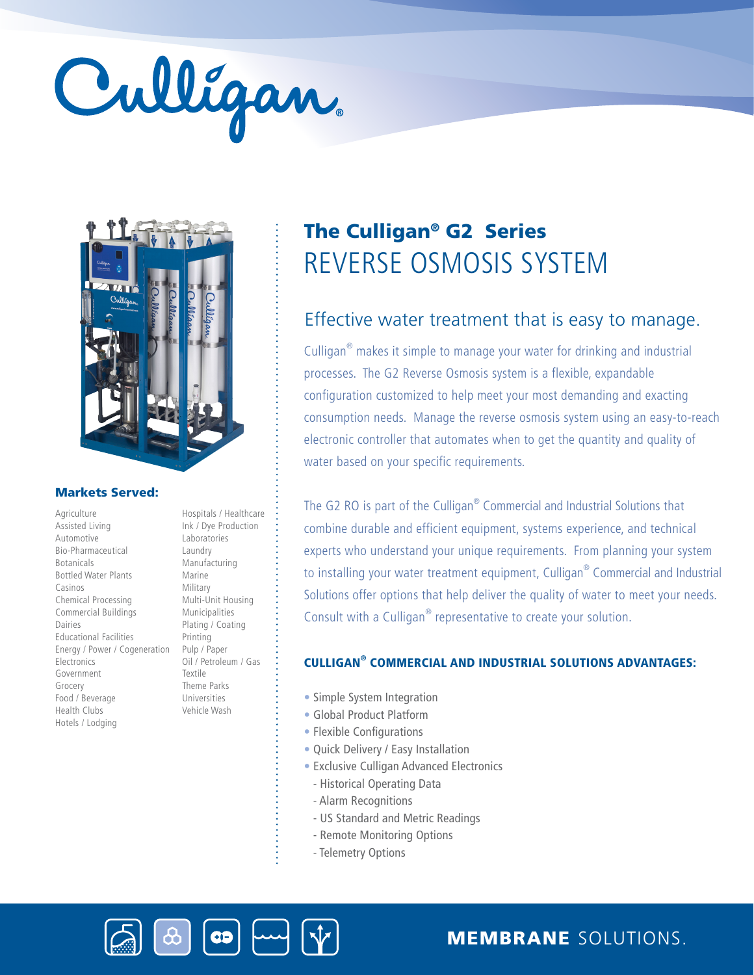# Culligan



# Markets Served:

Agriculture Assisted Living Automotive Bio-Pharmaceutical Botanicals Bottled Water Plants Casinos Chemical Processing Commercial Buildings Dairies Educational Facilities Energy / Power / Cogeneration **Electronics** Government Grocery Food / Beverage Health Clubs Hotels / Lodging

Ink / Dye Production Laboratories Laundry Manufacturing Marine Military Multi-Unit Housing Municipalities Plating / Coating Printing Pulp / Paper Oil / Petroleum / Gas Textile Theme Parks Universities Vehicle Wash

Hospitals / Healthcare

# REVERSE OSMOSIS SYSTEM The Culligan® G2 Series

# Effective water treatment that is easy to manage.

Culligan® makes it simple to manage your water for drinking and industrial processes. The G2 Reverse Osmosis system is a flexible, expandable configuration customized to help meet your most demanding and exacting consumption needs. Manage the reverse osmosis system using an easy-to-reach electronic controller that automates when to get the quantity and quality of water based on your specific requirements.

The G2 RO is part of the Culligan<sup>®</sup> Commercial and Industrial Solutions that combine durable and efficient equipment, systems experience, and technical experts who understand your unique requirements. From planning your system to installing your water treatment equipment, Culligan® Commercial and Industrial Solutions offer options that help deliver the quality of water to meet your needs. Consult with a Culligan<sup>®</sup> representative to create your solution.

# CULLIGAN® COMMERCIAL AND INDUSTRIAL SOLUTIONS ADVANTAGES:

- Simple System Integration
- Global Product Platform
- Flexible Configurations
- Quick Delivery / Easy Installation
- Exclusive Culligan Advanced Electronics
	- Historical Operating Data
- Alarm Recognitions
- US Standard and Metric Readings
- Remote Monitoring Options
- Telemetry Options



MEMBRANE SOLUTIONS.